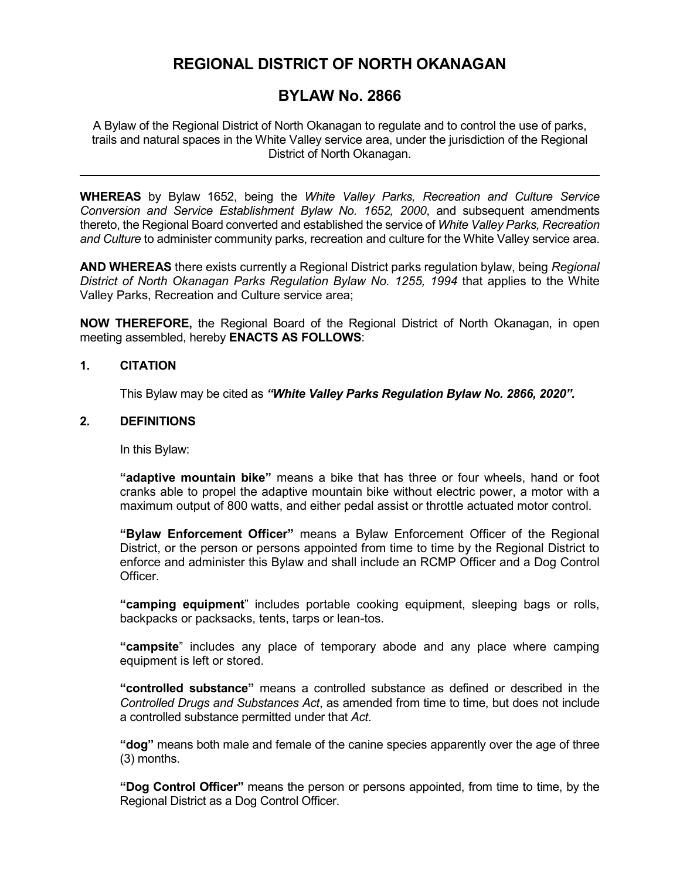# **REGIONAL DISTRICT OF NORTH OKANAGAN**

# **BYLAW No. 2866**

A Bylaw of the Regional District of North Okanagan to regulate and to control the use of parks, trails and natural spaces in the White Valley service area, under the jurisdiction of the Regional District of North Okanagan.

**WHEREAS** by Bylaw 1652, being the *White Valley Parks, Recreation and Culture Service Conversion and Service Establishment Bylaw No. 1652, 2000*, and subsequent amendments thereto, the Regional Board converted and established the service of *White Valley Parks, Recreation and Culture* to administer community parks, recreation and culture for the White Valley service area.

**AND WHEREAS** there exists currently a Regional District parks regulation bylaw, being *Regional District of North Okanagan Parks Regulation Bylaw No. 1255, 1994* that applies to the White Valley Parks, Recreation and Culture service area;

**NOW THEREFORE,** the Regional Board of the Regional District of North Okanagan, in open meeting assembled, hereby **ENACTS AS FOLLOWS**:

#### **1. CITATION**

This Bylaw may be cited as *"White Valley Parks Regulation Bylaw No. 2866, 2020".*

### **2. DEFINITIONS**

In this Bylaw:

**"adaptive mountain bike"** means a bike that has three or four wheels, hand or foot cranks able to propel the adaptive mountain bike without electric power, a motor with a maximum output of 800 watts, and either pedal assist or throttle actuated motor control.

**"Bylaw Enforcement Officer"** means a Bylaw Enforcement Officer of the Regional District, or the person or persons appointed from time to time by the Regional District to enforce and administer this Bylaw and shall include an RCMP Officer and a Dog Control Officer.

**"camping equipment**" includes portable cooking equipment, sleeping bags or rolls, backpacks or packsacks, tents, tarps or lean-tos.

**"campsite**" includes any place of temporary abode and any place where camping equipment is left or stored.

**"controlled substance"** means a controlled substance as defined or described in the *Controlled Drugs and Substances Act*, as amended from time to time, but does not include a controlled substance permitted under that *Act*.

**"dog"** means both male and female of the canine species apparently over the age of three (3) months.

**"Dog Control Officer"** means the person or persons appointed, from time to time, by the Regional District as a Dog Control Officer.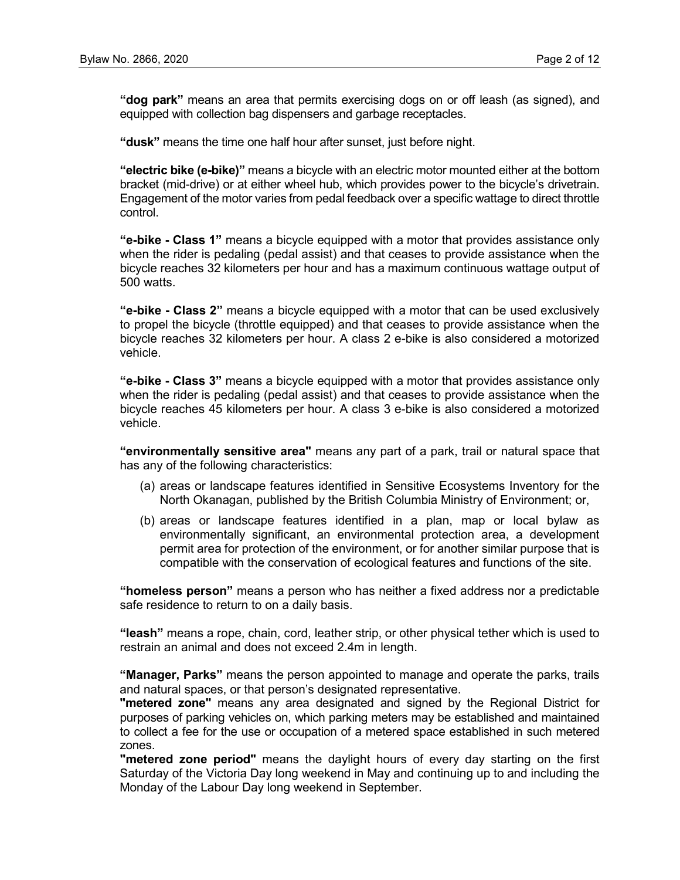**"dog park"** means an area that permits exercising dogs on or off leash (as signed), and equipped with collection bag dispensers and garbage receptacles.

**"dusk"** means the time one half hour after sunset, just before night.

**"electric bike (e-bike)"** means a bicycle with an electric motor mounted either at the bottom bracket (mid-drive) or at either wheel hub, which provides power to the bicycle's drivetrain. Engagement of the motor varies from pedal feedback over a specific wattage to direct throttle control.

**"e-bike - Class 1"** means a bicycle equipped with a motor that provides assistance only when the rider is pedaling (pedal assist) and that ceases to provide assistance when the bicycle reaches 32 kilometers per hour and has a maximum continuous wattage output of 500 watts.

**"e-bike - Class 2"** means a bicycle equipped with a motor that can be used exclusively to propel the bicycle (throttle equipped) and that ceases to provide assistance when the bicycle reaches 32 kilometers per hour. A class 2 e-bike is also considered a motorized vehicle.

**"e-bike - Class 3"** means a bicycle equipped with a motor that provides assistance only when the rider is pedaling (pedal assist) and that ceases to provide assistance when the bicycle reaches 45 kilometers per hour. A class 3 e-bike is also considered a motorized vehicle.

**"environmentally sensitive area"** means any part of a park, trail or natural space that has any of the following characteristics:

- (a) areas or landscape features identified in Sensitive Ecosystems Inventory for the North Okanagan, published by the British Columbia Ministry of Environment; or,
- (b) areas or landscape features identified in a plan, map or local bylaw as environmentally significant, an environmental protection area, a development permit area for protection of the environment, or for another similar purpose that is compatible with the conservation of ecological features and functions of the site.

**"homeless person"** means a person who has neither a fixed address nor a predictable safe residence to return to on a daily basis.

**"leash"** means a rope, chain, cord, leather strip, or other physical tether which is used to restrain an animal and does not exceed 2.4m in length.

**"Manager, Parks"** means the person appointed to manage and operate the parks, trails and natural spaces, or that person's designated representative.

**"metered zone"** means any area designated and signed by the Regional District for purposes of parking vehicles on, which parking meters may be established and maintained to collect a fee for the use or occupation of a metered space established in such metered zones.

**"metered zone period"** means the daylight hours of every day starting on the first Saturday of the Victoria Day long weekend in May and continuing up to and including the Monday of the Labour Day long weekend in September.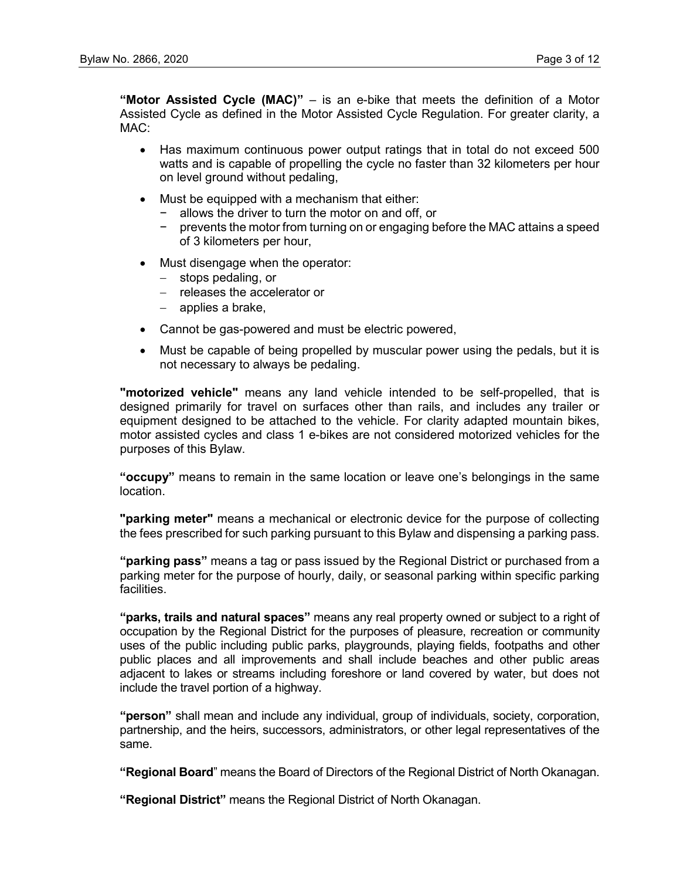**"Motor Assisted Cycle (MAC)"** – is an e-bike that meets the definition of a Motor Assisted Cycle as defined in the Motor Assisted Cycle Regulation. For greater clarity, a MAC:

- Has maximum continuous power output ratings that in total do not exceed 500 watts and is capable of propelling the cycle no faster than 32 kilometers per hour on level ground without pedaling,
- Must be equipped with a mechanism that either:
	- − allows the driver to turn the motor on and off, or
	- − prevents the motor from turning on or engaging before the MAC attains a speed of 3 kilometers per hour,
- Must disengage when the operator:
	- − stops pedaling, or
	- − releases the accelerator or
	- − applies a brake,
- Cannot be gas-powered and must be electric powered,
- Must be capable of being propelled by muscular power using the pedals, but it is not necessary to always be pedaling.

**"motorized vehicle"** means any land vehicle intended to be self-propelled, that is designed primarily for travel on surfaces other than rails, and includes any trailer or equipment designed to be attached to the vehicle. For clarity adapted mountain bikes, motor assisted cycles and class 1 e-bikes are not considered motorized vehicles for the purposes of this Bylaw.

**"occupy"** means to remain in the same location or leave one's belongings in the same location.

**"parking meter"** means a mechanical or electronic device for the purpose of collecting the fees prescribed for such parking pursuant to this Bylaw and dispensing a parking pass.

**"parking pass"** means a tag or pass issued by the Regional District or purchased from a parking meter for the purpose of hourly, daily, or seasonal parking within specific parking facilities.

**"parks, trails and natural spaces"** means any real property owned or subject to a right of occupation by the Regional District for the purposes of pleasure, recreation or community uses of the public including public parks, playgrounds, playing fields, footpaths and other public places and all improvements and shall include beaches and other public areas adjacent to lakes or streams including foreshore or land covered by water, but does not include the travel portion of a highway.

**"person"** shall mean and include any individual, group of individuals, society, corporation, partnership, and the heirs, successors, administrators, or other legal representatives of the same.

**"Regional Board**" means the Board of Directors of the Regional District of North Okanagan.

**"Regional District"** means the Regional District of North Okanagan.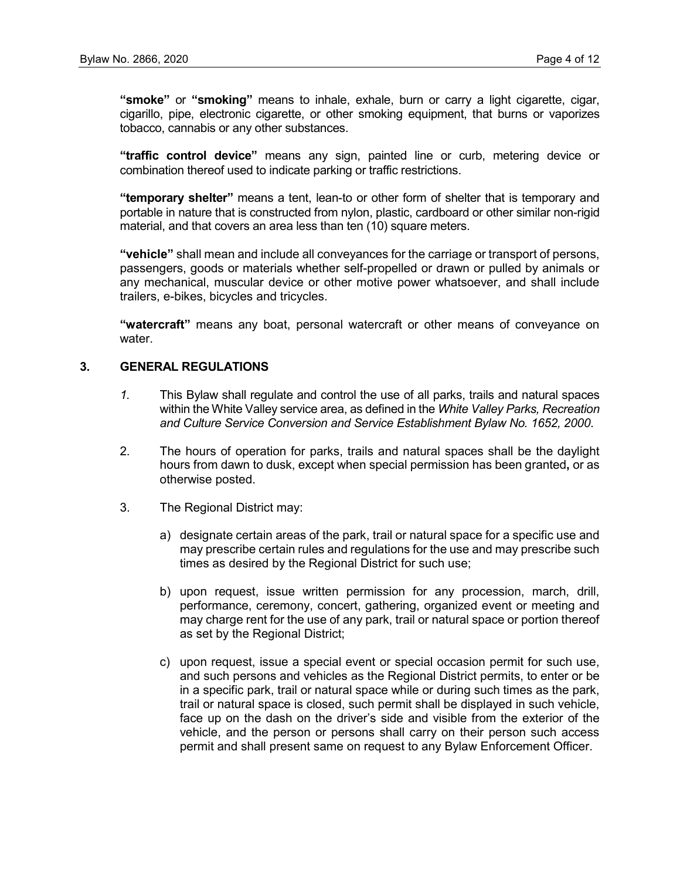**"smoke"** or **"smoking"** means to inhale, exhale, burn or carry a light cigarette, cigar, cigarillo, pipe, electronic cigarette, or other smoking equipment, that burns or vaporizes tobacco, cannabis or any other substances.

**"traffic control device"** means any sign, painted line or curb, metering device or combination thereof used to indicate parking or traffic restrictions.

**"temporary shelter"** means a tent, lean-to or other form of shelter that is temporary and portable in nature that is constructed from nylon, plastic, cardboard or other similar non-rigid material, and that covers an area less than ten (10) square meters.

**"vehicle"** shall mean and include all conveyances for the carriage or transport of persons, passengers, goods or materials whether self-propelled or drawn or pulled by animals or any mechanical, muscular device or other motive power whatsoever, and shall include trailers, e-bikes, bicycles and tricycles.

**"watercraft"** means any boat, personal watercraft or other means of conveyance on water.

# **3. GENERAL REGULATIONS**

- *1.* This Bylaw shall regulate and control the use of all parks, trails and natural spaces within the White Valley service area, as defined in the *White Valley Parks, Recreation and Culture Service Conversion and Service Establishment Bylaw No. 1652, 2000*.
- 2. The hours of operation for parks, trails and natural spaces shall be the daylight hours from dawn to dusk, except when special permission has been granted**,** or as otherwise posted.
- 3. The Regional District may:
	- a) designate certain areas of the park, trail or natural space for a specific use and may prescribe certain rules and regulations for the use and may prescribe such times as desired by the Regional District for such use;
	- b) upon request, issue written permission for any procession, march, drill, performance, ceremony, concert, gathering, organized event or meeting and may charge rent for the use of any park, trail or natural space or portion thereof as set by the Regional District;
	- c) upon request, issue a special event or special occasion permit for such use, and such persons and vehicles as the Regional District permits, to enter or be in a specific park, trail or natural space while or during such times as the park, trail or natural space is closed, such permit shall be displayed in such vehicle, face up on the dash on the driver's side and visible from the exterior of the vehicle, and the person or persons shall carry on their person such access permit and shall present same on request to any Bylaw Enforcement Officer.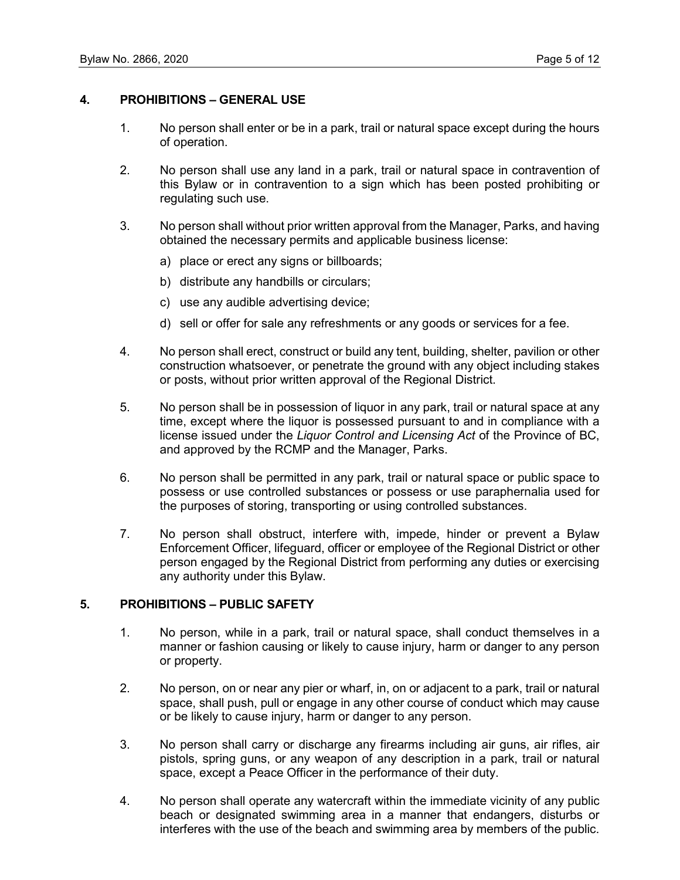### **4. PROHIBITIONS – GENERAL USE**

- 1. No person shall enter or be in a park, trail or natural space except during the hours of operation.
- 2. No person shall use any land in a park, trail or natural space in contravention of this Bylaw or in contravention to a sign which has been posted prohibiting or regulating such use.
- 3. No person shall without prior written approval from the Manager, Parks, and having obtained the necessary permits and applicable business license:
	- a) place or erect any signs or billboards;
	- b) distribute any handbills or circulars;
	- c) use any audible advertising device;
	- d) sell or offer for sale any refreshments or any goods or services for a fee.
- 4. No person shall erect, construct or build any tent, building, shelter, pavilion or other construction whatsoever, or penetrate the ground with any object including stakes or posts, without prior written approval of the Regional District.
- 5. No person shall be in possession of liquor in any park, trail or natural space at any time, except where the liquor is possessed pursuant to and in compliance with a license issued under the *Liquor Control and Licensing Act* of the Province of BC, and approved by the RCMP and the Manager, Parks.
- 6. No person shall be permitted in any park, trail or natural space or public space to possess or use controlled substances or possess or use paraphernalia used for the purposes of storing, transporting or using controlled substances.
- 7. No person shall obstruct, interfere with, impede, hinder or prevent a Bylaw Enforcement Officer, lifeguard, officer or employee of the Regional District or other person engaged by the Regional District from performing any duties or exercising any authority under this Bylaw.

# **5. PROHIBITIONS – PUBLIC SAFETY**

- 1. No person, while in a park, trail or natural space, shall conduct themselves in a manner or fashion causing or likely to cause injury, harm or danger to any person or property.
- 2. No person, on or near any pier or wharf, in, on or adjacent to a park, trail or natural space, shall push, pull or engage in any other course of conduct which may cause or be likely to cause injury, harm or danger to any person.
- 3. No person shall carry or discharge any firearms including air guns, air rifles, air pistols, spring guns, or any weapon of any description in a park, trail or natural space, except a Peace Officer in the performance of their duty.
- 4. No person shall operate any watercraft within the immediate vicinity of any public beach or designated swimming area in a manner that endangers, disturbs or interferes with the use of the beach and swimming area by members of the public.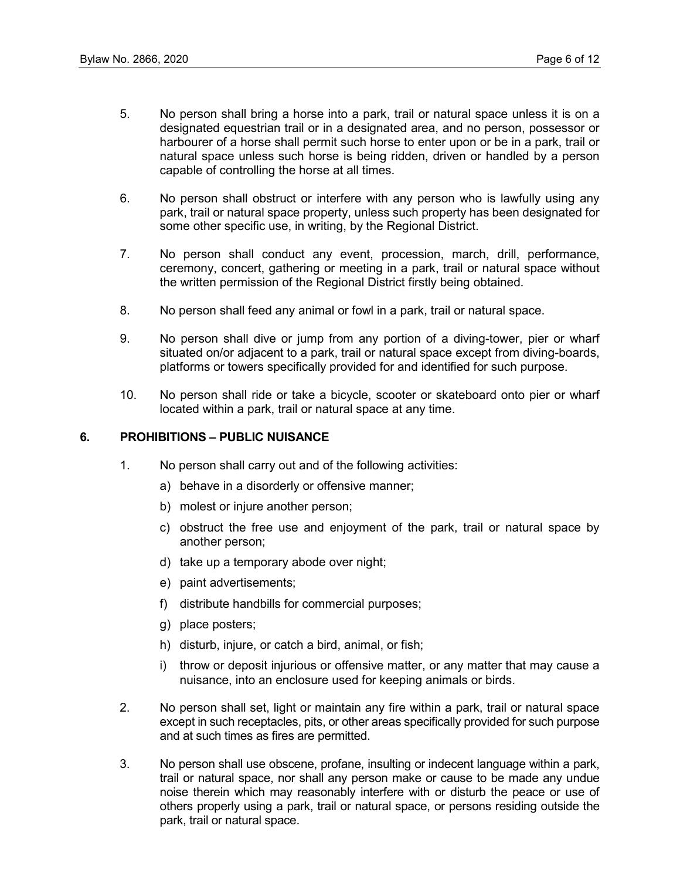- 5. No person shall bring a horse into a park, trail or natural space unless it is on a designated equestrian trail or in a designated area, and no person, possessor or harbourer of a horse shall permit such horse to enter upon or be in a park, trail or natural space unless such horse is being ridden, driven or handled by a person capable of controlling the horse at all times.
- 6. No person shall obstruct or interfere with any person who is lawfully using any park, trail or natural space property, unless such property has been designated for some other specific use, in writing, by the Regional District.
- 7. No person shall conduct any event, procession, march, drill, performance, ceremony, concert, gathering or meeting in a park, trail or natural space without the written permission of the Regional District firstly being obtained.
- 8. No person shall feed any animal or fowl in a park, trail or natural space.
- 9. No person shall dive or jump from any portion of a diving-tower, pier or wharf situated on/or adjacent to a park, trail or natural space except from diving-boards, platforms or towers specifically provided for and identified for such purpose.
- 10. No person shall ride or take a bicycle, scooter or skateboard onto pier or wharf located within a park, trail or natural space at any time.

#### **6. PROHIBITIONS – PUBLIC NUISANCE**

- 1. No person shall carry out and of the following activities:
	- a) behave in a disorderly or offensive manner;
	- b) molest or injure another person;
	- c) obstruct the free use and enjoyment of the park, trail or natural space by another person;
	- d) take up a temporary abode over night;
	- e) paint advertisements;
	- f) distribute handbills for commercial purposes;
	- g) place posters;
	- h) disturb, injure, or catch a bird, animal, or fish;
	- i) throw or deposit injurious or offensive matter, or any matter that may cause a nuisance, into an enclosure used for keeping animals or birds.
- 2. No person shall set, light or maintain any fire within a park, trail or natural space except in such receptacles, pits, or other areas specifically provided for such purpose and at such times as fires are permitted.
- 3. No person shall use obscene, profane, insulting or indecent language within a park, trail or natural space, nor shall any person make or cause to be made any undue noise therein which may reasonably interfere with or disturb the peace or use of others properly using a park, trail or natural space, or persons residing outside the park, trail or natural space.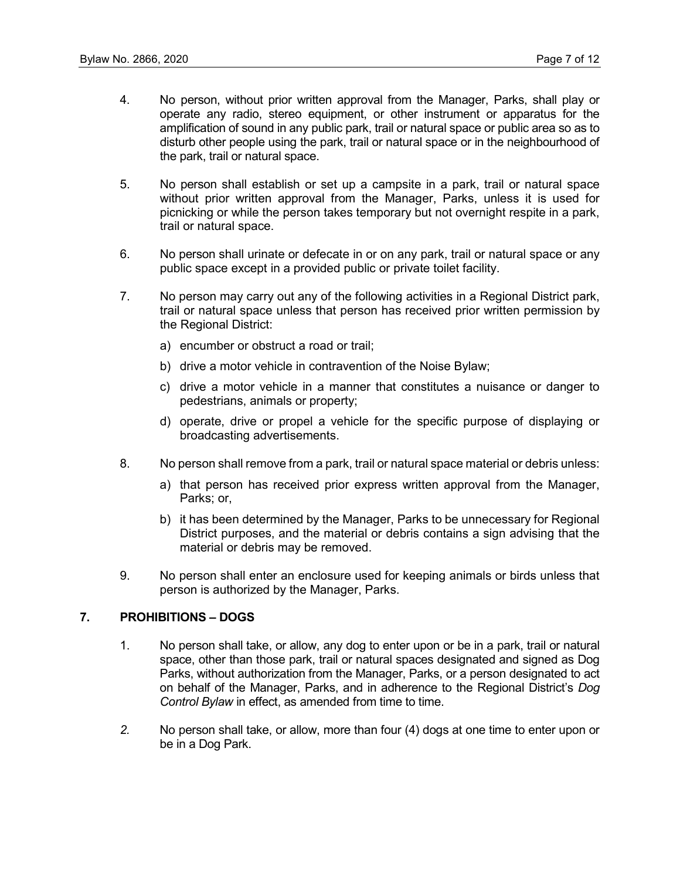- 4. No person, without prior written approval from the Manager, Parks, shall play or operate any radio, stereo equipment, or other instrument or apparatus for the amplification of sound in any public park, trail or natural space or public area so as to disturb other people using the park, trail or natural space or in the neighbourhood of the park, trail or natural space.
- 5. No person shall establish or set up a campsite in a park, trail or natural space without prior written approval from the Manager, Parks, unless it is used for picnicking or while the person takes temporary but not overnight respite in a park, trail or natural space.
- 6. No person shall urinate or defecate in or on any park, trail or natural space or any public space except in a provided public or private toilet facility.
- 7. No person may carry out any of the following activities in a Regional District park, trail or natural space unless that person has received prior written permission by the Regional District:
	- a) encumber or obstruct a road or trail;
	- b) drive a motor vehicle in contravention of the Noise Bylaw;
	- c) drive a motor vehicle in a manner that constitutes a nuisance or danger to pedestrians, animals or property;
	- d) operate, drive or propel a vehicle for the specific purpose of displaying or broadcasting advertisements.
- 8. No person shall remove from a park, trail or natural space material or debris unless:
	- a) that person has received prior express written approval from the Manager, Parks; or,
	- b) it has been determined by the Manager, Parks to be unnecessary for Regional District purposes, and the material or debris contains a sign advising that the material or debris may be removed.
- 9. No person shall enter an enclosure used for keeping animals or birds unless that person is authorized by the Manager, Parks.

# **7. PROHIBITIONS – DOGS**

- 1. No person shall take, or allow, any dog to enter upon or be in a park, trail or natural space, other than those park, trail or natural spaces designated and signed as Dog Parks, without authorization from the Manager, Parks, or a person designated to act on behalf of the Manager, Parks, and in adherence to the Regional District's *Dog Control Bylaw* in effect, as amended from time to time.
- *2.* No person shall take, or allow, more than four (4) dogs at one time to enter upon or be in a Dog Park.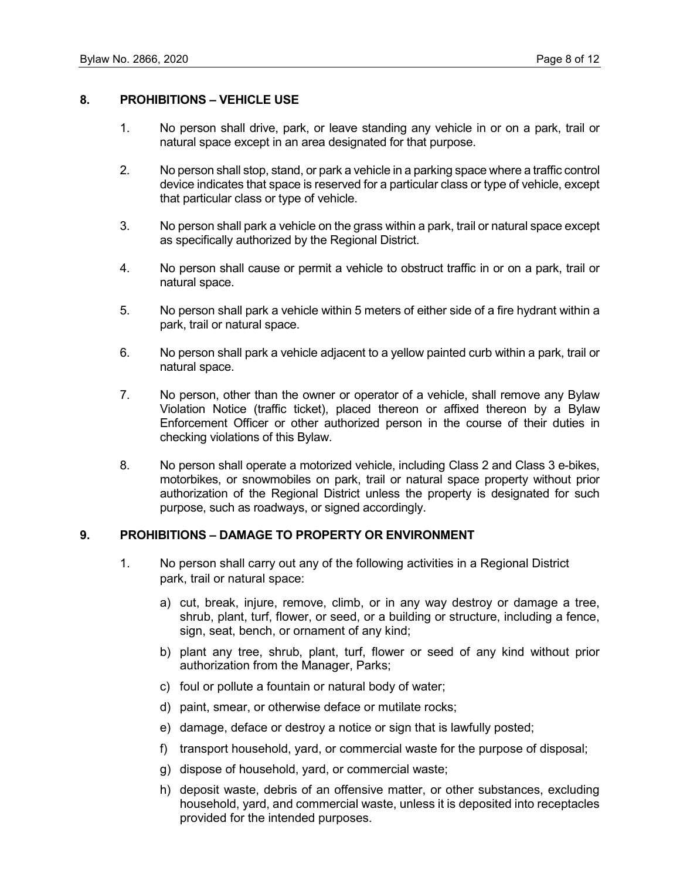## **8. PROHIBITIONS – VEHICLE USE**

- 1. No person shall drive, park, or leave standing any vehicle in or on a park, trail or natural space except in an area designated for that purpose.
- 2. No person shall stop, stand, or park a vehicle in a parking space where a traffic control device indicates that space is reserved for a particular class or type of vehicle, except that particular class or type of vehicle.
- 3. No person shall park a vehicle on the grass within a park, trail or natural space except as specifically authorized by the Regional District.
- 4. No person shall cause or permit a vehicle to obstruct traffic in or on a park, trail or natural space.
- 5. No person shall park a vehicle within 5 meters of either side of a fire hydrant within a park, trail or natural space.
- 6. No person shall park a vehicle adjacent to a yellow painted curb within a park, trail or natural space.
- 7. No person, other than the owner or operator of a vehicle, shall remove any Bylaw Violation Notice (traffic ticket), placed thereon or affixed thereon by a Bylaw Enforcement Officer or other authorized person in the course of their duties in checking violations of this Bylaw.
- 8. No person shall operate a motorized vehicle, including Class 2 and Class 3 e-bikes, motorbikes, or snowmobiles on park, trail or natural space property without prior authorization of the Regional District unless the property is designated for such purpose, such as roadways, or signed accordingly.

#### **9. PROHIBITIONS – DAMAGE TO PROPERTY OR ENVIRONMENT**

- 1. No person shall carry out any of the following activities in a Regional District park, trail or natural space:
	- a) cut, break, injure, remove, climb, or in any way destroy or damage a tree, shrub, plant, turf, flower, or seed, or a building or structure, including a fence, sign, seat, bench, or ornament of any kind;
	- b) plant any tree, shrub, plant, turf, flower or seed of any kind without prior authorization from the Manager, Parks;
	- c) foul or pollute a fountain or natural body of water;
	- d) paint, smear, or otherwise deface or mutilate rocks;
	- e) damage, deface or destroy a notice or sign that is lawfully posted;
	- f) transport household, yard, or commercial waste for the purpose of disposal;
	- g) dispose of household, yard, or commercial waste;
	- h) deposit waste, debris of an offensive matter, or other substances, excluding household, yard, and commercial waste, unless it is deposited into receptacles provided for the intended purposes.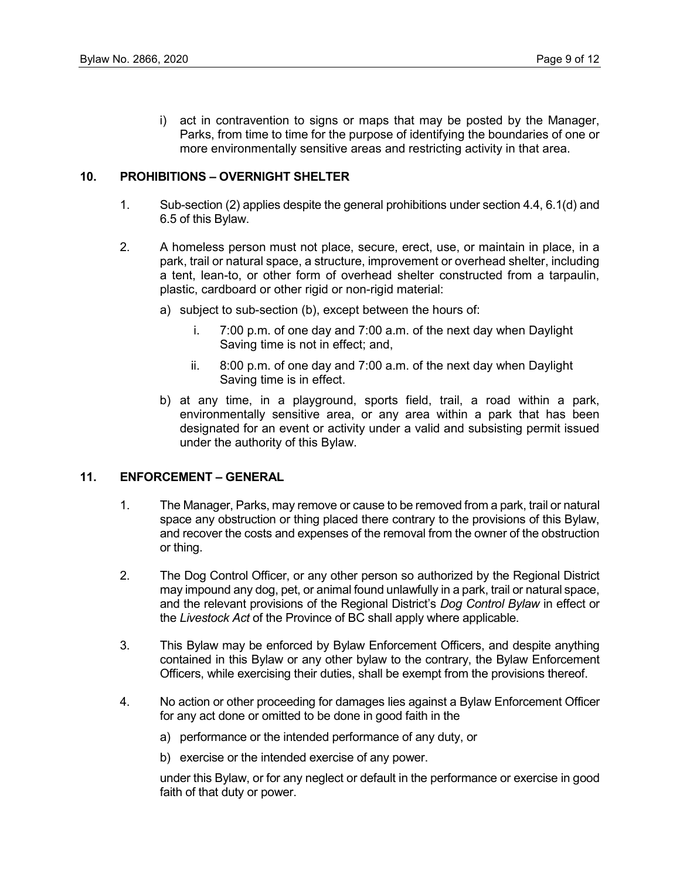i) act in contravention to signs or maps that may be posted by the Manager, Parks, from time to time for the purpose of identifying the boundaries of one or more environmentally sensitive areas and restricting activity in that area.

#### **10. PROHIBITIONS – OVERNIGHT SHELTER**

- 1. Sub-section (2) applies despite the general prohibitions under section 4.4, 6.1(d) and 6.5 of this Bylaw.
- 2. A homeless person must not place, secure, erect, use, or maintain in place, in a park, trail or natural space, a structure, improvement or overhead shelter, including a tent, lean-to, or other form of overhead shelter constructed from a tarpaulin, plastic, cardboard or other rigid or non-rigid material:
	- a) subject to sub-section (b), except between the hours of:
		- i. 7:00 p.m. of one day and 7:00 a.m. of the next day when Daylight Saving time is not in effect; and,
		- ii. 8:00 p.m. of one day and 7:00 a.m. of the next day when Daylight Saving time is in effect.
	- b) at any time, in a playground, sports field, trail, a road within a park, environmentally sensitive area, or any area within a park that has been designated for an event or activity under a valid and subsisting permit issued under the authority of this Bylaw.

## **11. ENFORCEMENT – GENERAL**

- 1. The Manager, Parks, may remove or cause to be removed from a park, trail or natural space any obstruction or thing placed there contrary to the provisions of this Bylaw, and recover the costs and expenses of the removal from the owner of the obstruction or thing.
- 2. The Dog Control Officer, or any other person so authorized by the Regional District may impound any dog, pet, or animal found unlawfully in a park, trail or natural space, and the relevant provisions of the Regional District's *Dog Control Bylaw* in effect or the *Livestock Act* of the Province of BC shall apply where applicable.
- 3. This Bylaw may be enforced by Bylaw Enforcement Officers, and despite anything contained in this Bylaw or any other bylaw to the contrary, the Bylaw Enforcement Officers, while exercising their duties, shall be exempt from the provisions thereof.
- 4. No action or other proceeding for damages lies against a Bylaw Enforcement Officer for any act done or omitted to be done in good faith in the
	- a) performance or the intended performance of any duty, or
	- b) exercise or the intended exercise of any power.

under this Bylaw, or for any neglect or default in the performance or exercise in good faith of that duty or power.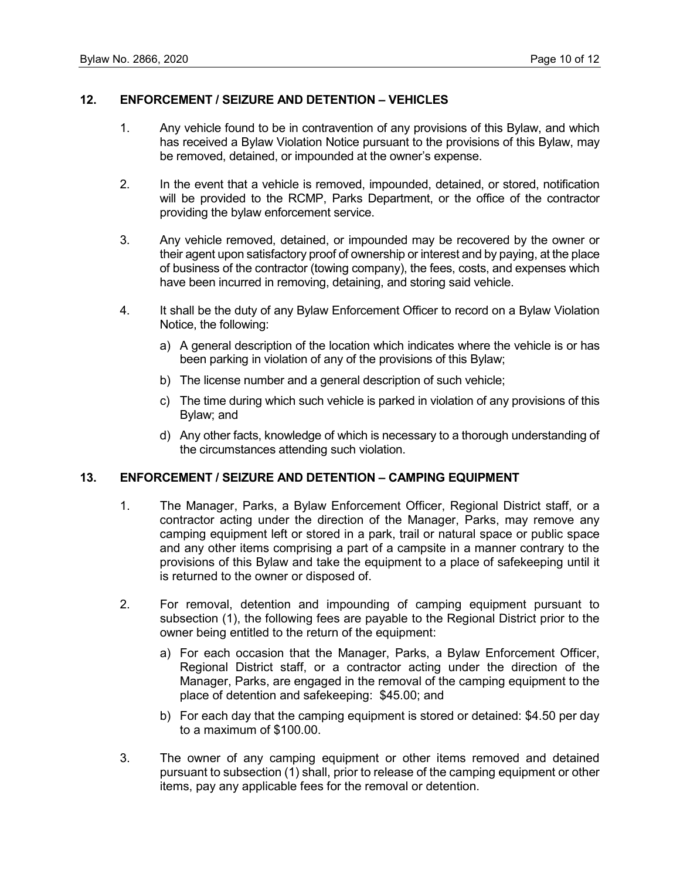# **12. ENFORCEMENT / SEIZURE AND DETENTION – VEHICLES**

- 1. Any vehicle found to be in contravention of any provisions of this Bylaw, and which has received a Bylaw Violation Notice pursuant to the provisions of this Bylaw, may be removed, detained, or impounded at the owner's expense.
- 2. In the event that a vehicle is removed, impounded, detained, or stored, notification will be provided to the RCMP, Parks Department, or the office of the contractor providing the bylaw enforcement service.
- 3. Any vehicle removed, detained, or impounded may be recovered by the owner or their agent upon satisfactory proof of ownership or interest and by paying, at the place of business of the contractor (towing company), the fees, costs, and expenses which have been incurred in removing, detaining, and storing said vehicle.
- 4. It shall be the duty of any Bylaw Enforcement Officer to record on a Bylaw Violation Notice, the following:
	- a) A general description of the location which indicates where the vehicle is or has been parking in violation of any of the provisions of this Bylaw;
	- b) The license number and a general description of such vehicle;
	- c) The time during which such vehicle is parked in violation of any provisions of this Bylaw; and
	- d) Any other facts, knowledge of which is necessary to a thorough understanding of the circumstances attending such violation.

## **13. ENFORCEMENT / SEIZURE AND DETENTION – CAMPING EQUIPMENT**

- 1. The Manager, Parks, a Bylaw Enforcement Officer, Regional District staff, or a contractor acting under the direction of the Manager, Parks, may remove any camping equipment left or stored in a park, trail or natural space or public space and any other items comprising a part of a campsite in a manner contrary to the provisions of this Bylaw and take the equipment to a place of safekeeping until it is returned to the owner or disposed of.
- 2. For removal, detention and impounding of camping equipment pursuant to subsection (1), the following fees are payable to the Regional District prior to the owner being entitled to the return of the equipment:
	- a) For each occasion that the Manager, Parks, a Bylaw Enforcement Officer, Regional District staff, or a contractor acting under the direction of the Manager, Parks, are engaged in the removal of the camping equipment to the place of detention and safekeeping: \$45.00; and
	- b) For each day that the camping equipment is stored or detained: \$4.50 per day to a maximum of \$100.00.
- 3. The owner of any camping equipment or other items removed and detained pursuant to subsection (1) shall, prior to release of the camping equipment or other items, pay any applicable fees for the removal or detention.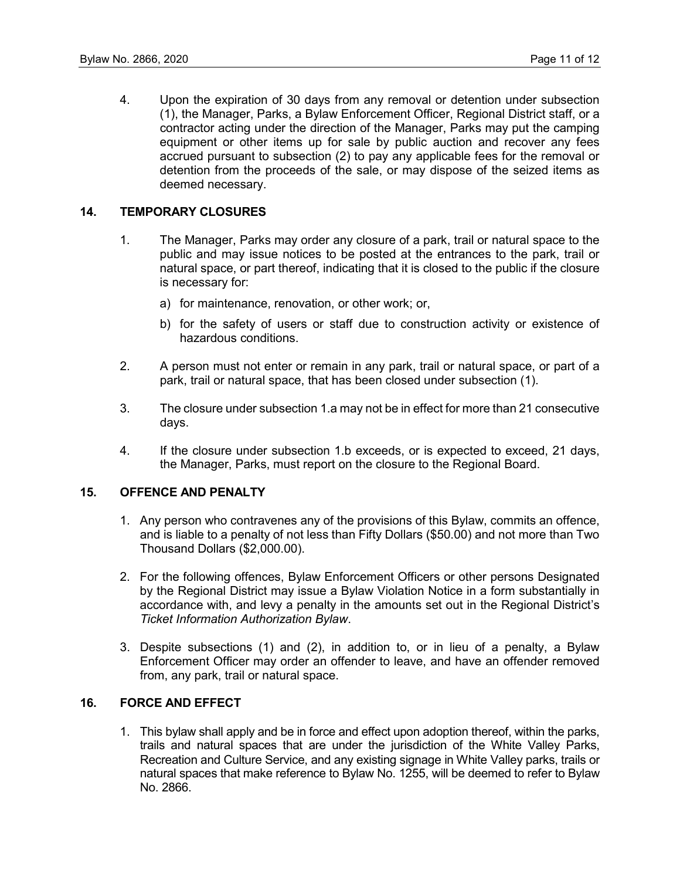4. Upon the expiration of 30 days from any removal or detention under subsection (1), the Manager, Parks, a Bylaw Enforcement Officer, Regional District staff, or a contractor acting under the direction of the Manager, Parks may put the camping equipment or other items up for sale by public auction and recover any fees accrued pursuant to subsection (2) to pay any applicable fees for the removal or detention from the proceeds of the sale, or may dispose of the seized items as deemed necessary.

#### **14. TEMPORARY CLOSURES**

- 1. The Manager, Parks may order any closure of a park, trail or natural space to the public and may issue notices to be posted at the entrances to the park, trail or natural space, or part thereof, indicating that it is closed to the public if the closure is necessary for:
	- a) for maintenance, renovation, or other work; or,
	- b) for the safety of users or staff due to construction activity or existence of hazardous conditions.
- 2. A person must not enter or remain in any park, trail or natural space, or part of a park, trail or natural space, that has been closed under subsection (1).
- 3. The closure under subsection 1.a may not be in effect for more than 21 consecutive days.
- 4. If the closure under subsection 1.b exceeds, or is expected to exceed, 21 days, the Manager, Parks, must report on the closure to the Regional Board.

#### **15. OFFENCE AND PENALTY**

- 1. Any person who contravenes any of the provisions of this Bylaw, commits an offence, and is liable to a penalty of not less than Fifty Dollars (\$50.00) and not more than Two Thousand Dollars (\$2,000.00).
- 2. For the following offences, Bylaw Enforcement Officers or other persons Designated by the Regional District may issue a Bylaw Violation Notice in a form substantially in accordance with, and levy a penalty in the amounts set out in the Regional District's *Ticket Information Authorization Bylaw*.
- 3. Despite subsections (1) and (2), in addition to, or in lieu of a penalty, a Bylaw Enforcement Officer may order an offender to leave, and have an offender removed from, any park, trail or natural space.

# **16. FORCE AND EFFECT**

1. This bylaw shall apply and be in force and effect upon adoption thereof, within the parks, trails and natural spaces that are under the jurisdiction of the White Valley Parks, Recreation and Culture Service, and any existing signage in White Valley parks, trails or natural spaces that make reference to Bylaw No. 1255, will be deemed to refer to Bylaw No. 2866.